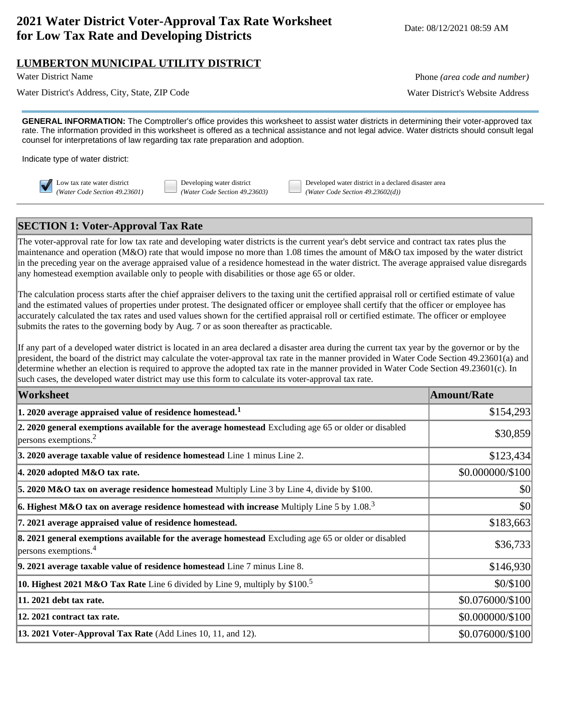# **2021 Water District Voter-Approval Tax Rate Worksheet for Low Tax Rate and Developing Districts** Worksheet Date: 08/12/2021 08:59 AM<br>**for Low Tax Rate and Developing Districts**

## **LUMBERTON MUNICIPAL UTILITY DISTRICT**

Water District's Address, City, State, ZIP Code Water District's Website Address

Water District Name **Phone** *(area code and number)* Phone *(area code and number)* 

**GENERAL INFORMATION:** The Comptroller's office provides this worksheet to assist water districts in determining their voter-approved tax rate. The information provided in this worksheet is offered as a technical assistance and not legal advice. Water districts should consult legal counsel for interpretations of law regarding tax rate preparation and adoption.

Indicate type of water district:

Low tax rate water district Developing water district Developed water district in a declared disaster area *(Water Code Section 49.23601) (Water Code Section 49.23603) (Water Code Section 49.23602(d))*

# **SECTION 1: Voter-Approval Tax Rate**

The voter-approval rate for low tax rate and developing water districts is the current year's debt service and contract tax rates plus the maintenance and operation (M&O) rate that would impose no more than 1.08 times the amount of M&O tax imposed by the water district in the preceding year on the average appraised value of a residence homestead in the water district. The average appraised value disregards any homestead exemption available only to people with disabilities or those age 65 or older.

The calculation process starts after the chief appraiser delivers to the taxing unit the certified appraisal roll or certified estimate of value and the estimated values of properties under protest. The designated officer or employee shall certify that the officer or employee has accurately calculated the tax rates and used values shown for the certified appraisal roll or certified estimate. The officer or employee submits the rates to the governing body by Aug. 7 or as soon thereafter as practicable.

If any part of a developed water district is located in an area declared a disaster area during the current tax year by the governor or by the president, the board of the district may calculate the voter-approval tax rate in the manner provided in Water Code Section 49.23601(a) and determine whether an election is required to approve the adopted tax rate in the manner provided in Water Code Section 49.23601(c). In such cases, the developed water district may use this form to calculate its voter-approval tax rate.

| Worksheet                                                                                                                                    | <b>Amount/Rate</b> |
|----------------------------------------------------------------------------------------------------------------------------------------------|--------------------|
| $ 1.2020$ average appraised value of residence homestead. <sup>1</sup>                                                                       | \$154,293          |
| 2. 2020 general exemptions available for the average homestead Excluding age 65 or older or disabled<br>$ p$ ersons exemptions. <sup>2</sup> | \$30,859           |
| 3. 2020 average taxable value of residence homestead Line 1 minus Line 2.                                                                    | \$123,434          |
| $ 4.2020$ adopted M&O tax rate.                                                                                                              | \$0.000000/\$100   |
| 5. 2020 M&O tax on average residence homestead Multiply Line 3 by Line 4, divide by \$100.                                                   | \$0                |
| <b>6. Highest M&amp;O tax on average residence homestead with increase</b> Multiply Line 5 by 1.08. <sup>3</sup>                             | \$0                |
| 7. 2021 average appraised value of residence homestead.                                                                                      | \$183,663          |
| 8. 2021 general exemptions available for the average homestead Excluding age 65 or older or disabled<br>$ $ persons exemptions. <sup>4</sup> | \$36,733           |
| $\vert$ 9. 2021 average taxable value of residence homestead Line $\bar{7}$ minus Line 8.                                                    | \$146,930          |
| <b>10. Highest 2021 M&amp;O Tax Rate</b> Line 6 divided by Line 9, multiply by $$100.5$                                                      | \$0/\$100          |
| 11. 2021 debt tax rate.                                                                                                                      | \$0.076000/\$100   |
| 12. 2021 contract tax rate.                                                                                                                  | \$0.000000/\$100   |
| <b>13. 2021 Voter-Approval Tax Rate</b> (Add Lines 10, 11, and 12).                                                                          | \$0.076000/\$100   |